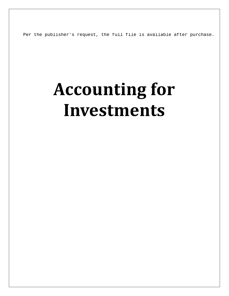Per the publisher's request, the full file is available after purchase.

# **Accounting for Investments**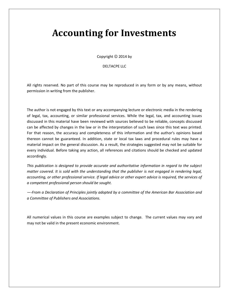## **Accounting for Investments**

Copyright © 2014 by

#### DELTACPE LLC

All rights reserved. No part of this course may be reproduced in any form or by any means, without permission in writing from the publisher.

The author is not engaged by this text or any accompanying lecture or electronic media in the rendering of legal, tax, accounting, or similar professional services. While the legal, tax, and accounting issues discussed in this material have been reviewed with sources believed to be reliable, concepts discussed can be affected by changes in the law or in the interpretation of such laws since this text was printed. For that reason, the accuracy and completeness of this information and the author's opinions based thereon cannot be guaranteed. In addition, state or local tax laws and procedural rules may have a material impact on the general discussion. As a result, the strategies suggested may not be suitable for every individual. Before taking any action, all references and citations should be checked and updated accordingly.

*This publication is designed to provide accurate and authoritative information in regard to the subject matter covered. It is sold with the understanding that the publisher is not engaged in rendering legal, accounting, or other professional service. If legal advice or other expert advice is required, the services of a competent professional person should be sought.*

*—-From a Declaration of Principles jointly adopted by a committee of the American Bar Association and a Committee of Publishers and Associations.*

All numerical values in this course are examples subject to change. The current values may vary and may not be valid in the present economic environment.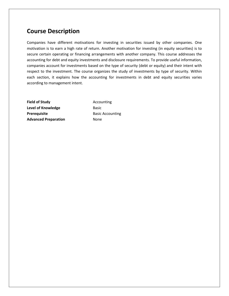### **Course Description**

Companies have different motivations for investing in securities issued by other companies. One motivation is to earn a high rate of return. Another motivation for investing (in equity securities) is to secure certain operating or financing arrangements with another company. This course addresses the accounting for debt and equity investments and disclosure requirements. To provide useful information, companies account for investments based on the type of security (debt or equity) and their intent with respect to the investment. The course organizes the study of investments by type of security. Within each section, it explains how the accounting for investments in debt and equity securities varies according to management intent.

**Field of Study Accounting Level of Knowledge** Basic **Prerequisite** Basic Accounting **Advanced Preparation None**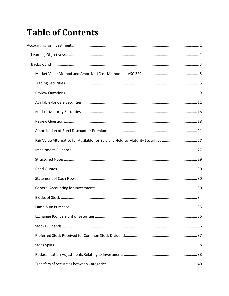## **Table of Contents**

| Fair Value Alternative for Available-for-Sale and Held-to-Maturity Securities 27 |  |
|----------------------------------------------------------------------------------|--|
|                                                                                  |  |
|                                                                                  |  |
|                                                                                  |  |
|                                                                                  |  |
|                                                                                  |  |
|                                                                                  |  |
|                                                                                  |  |
|                                                                                  |  |
|                                                                                  |  |
|                                                                                  |  |
|                                                                                  |  |
|                                                                                  |  |
|                                                                                  |  |